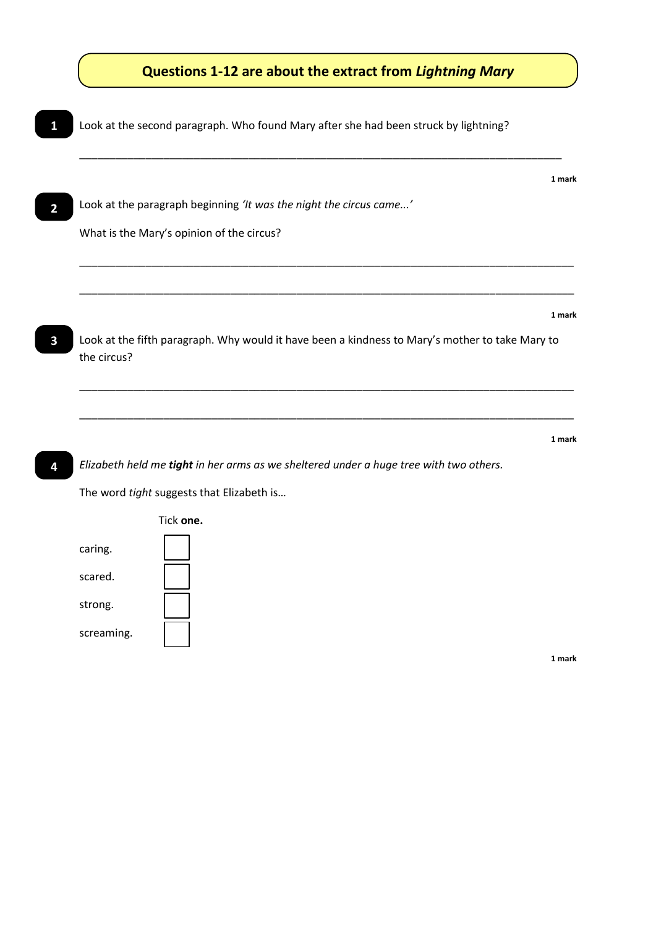

**1 mark**

*Elizabeth held me tight in her arms as we sheltered under a huge tree with two others.*

The word *tight* suggests that Elizabeth is…



**4**

**1 mark**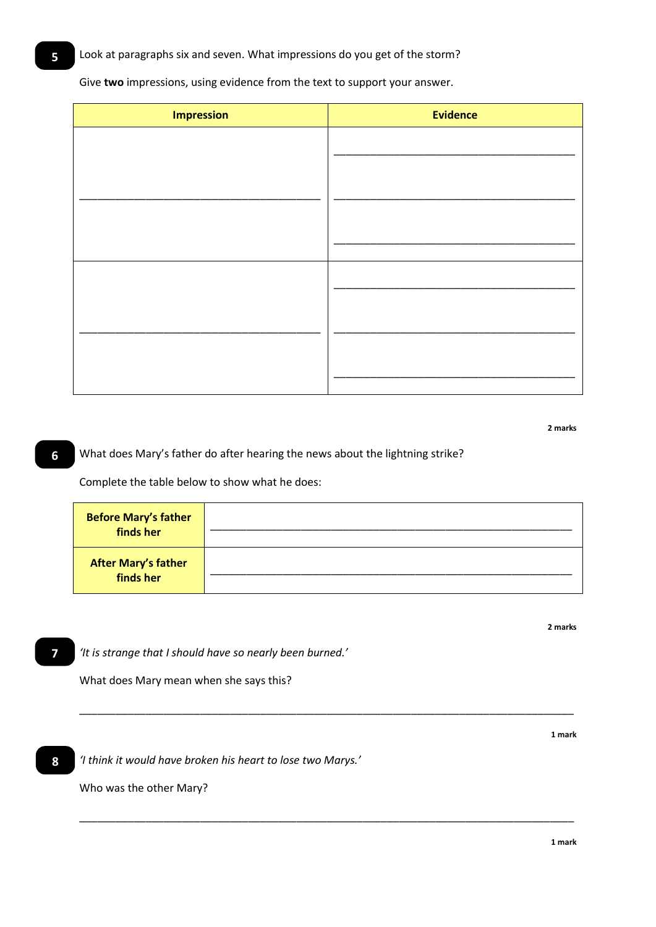Give **two** impressions, using evidence from the text to support your answer.

| <b>Impression</b> | <b>Evidence</b> |
|-------------------|-----------------|
|                   |                 |
|                   |                 |
|                   |                 |
|                   |                 |
|                   |                 |
|                   |                 |
|                   |                 |
|                   |                 |
|                   |                 |
|                   |                 |
|                   |                 |

**2 marks**

## What does Mary's father do after hearing the news about the lightning strike?

Complete the table below to show what he does:

| <b>Before Mary's father</b><br>finds her |  |
|------------------------------------------|--|
| <b>After Mary's father</b><br>finds her  |  |

\_\_\_\_\_\_\_\_\_\_\_\_\_\_\_\_\_\_\_\_\_\_\_\_\_\_\_\_\_\_\_\_\_\_\_\_\_\_\_\_\_\_\_\_\_\_\_\_\_\_\_\_\_\_\_\_\_\_\_\_\_\_\_\_\_\_\_\_\_\_\_\_\_\_\_\_\_\_\_\_\_\_

\_\_\_\_\_\_\_\_\_\_\_\_\_\_\_\_\_\_\_\_\_\_\_\_\_\_\_\_\_\_\_\_\_\_\_\_\_\_\_\_\_\_\_\_\_\_\_\_\_\_\_\_\_\_\_\_\_\_\_\_\_\_\_\_\_\_\_\_\_\_\_\_\_\_\_\_\_\_\_\_\_\_

**7**

**6**

*'It is strange that I should have so nearly been burned.'*

What does Mary mean when she says this?

**8**

*'I think it would have broken his heart to lose two Marys.'*

Who was the other Mary?

**2 marks**

**1 mark**